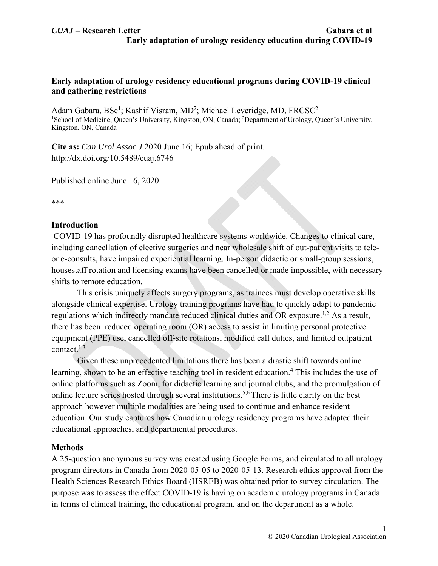# **Early adaptation of urology residency educational programs during COVID-19 clinical and gathering restrictions**

Adam Gabara, BSc<sup>1</sup>; Kashif Visram, MD<sup>2</sup>; Michael Leveridge, MD, FRCSC<sup>2</sup> <sup>1</sup>School of Medicine, Queen's University, Kingston, ON, Canada; <sup>2</sup>Department of Urology, Queen's University, Kingston, ON, Canada

**Cite as:** *Can Urol Assoc J* 2020 June 16; Epub ahead of print. http://dx.doi.org/10.5489/cuaj.6746

Published online June 16, 2020

\*\*\*

# **Introduction**

 COVID-19 has profoundly disrupted healthcare systems worldwide. Changes to clinical care, including cancellation of elective surgeries and near wholesale shift of out-patient visits to teleor e-consults, have impaired experiential learning. In-person didactic or small-group sessions, housestaff rotation and licensing exams have been cancelled or made impossible, with necessary shifts to remote education.

This crisis uniquely affects surgery programs, as trainees must develop operative skills alongside clinical expertise. Urology training programs have had to quickly adapt to pandemic regulations which indirectly mandate reduced clinical duties and OR exposure.<sup>1,2</sup> As a result, there has been reduced operating room (OR) access to assist in limiting personal protective equipment (PPE) use, cancelled off-site rotations, modified call duties, and limited outpatient contact. $1,3$ 

Given these unprecedented limitations there has been a drastic shift towards online learning, shown to be an effective teaching tool in resident education.<sup>4</sup> This includes the use of online platforms such as Zoom, for didactic learning and journal clubs, and the promulgation of online lecture series hosted through several institutions.5,6 There is little clarity on the best approach however multiple modalities are being used to continue and enhance resident education. Our study captures how Canadian urology residency programs have adapted their educational approaches, and departmental procedures.

# **Methods**

A 25-question anonymous survey was created using Google Forms, and circulated to all urology program directors in Canada from 2020-05-05 to 2020-05-13. Research ethics approval from the Health Sciences Research Ethics Board (HSREB) was obtained prior to survey circulation. The purpose was to assess the effect COVID-19 is having on academic urology programs in Canada in terms of clinical training, the educational program, and on the department as a whole.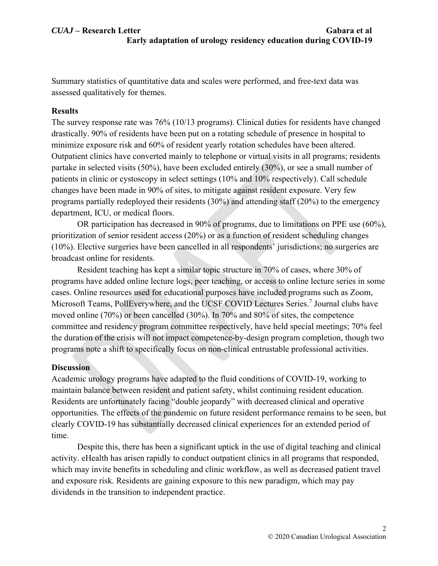Summary statistics of quantitative data and scales were performed, and free-text data was assessed qualitatively for themes.

# **Results**

The survey response rate was 76% (10/13 programs). Clinical duties for residents have changed drastically. 90% of residents have been put on a rotating schedule of presence in hospital to minimize exposure risk and 60% of resident yearly rotation schedules have been altered. Outpatient clinics have converted mainly to telephone or virtual visits in all programs; residents partake in selected visits (50%), have been excluded entirely (30%), or see a small number of patients in clinic or cystoscopy in select settings (10% and 10% respectively). Call schedule changes have been made in 90% of sites, to mitigate against resident exposure. Very few programs partially redeployed their residents (30%) and attending staff (20%) to the emergency department, ICU, or medical floors.

OR participation has decreased in 90% of programs, due to limitations on PPE use (60%), prioritization of senior resident access (20%) or as a function of resident scheduling changes (10%). Elective surgeries have been cancelled in all respondents' jurisdictions; no surgeries are broadcast online for residents.

Resident teaching has kept a similar topic structure in 70% of cases, where 30% of programs have added online lecture logs, peer teaching, or access to online lecture series in some cases. Online resources used for educational purposes have included programs such as Zoom, Microsoft Teams, PollEverywhere, and the UCSF COVID Lectures Series.<sup>7</sup> Journal clubs have moved online (70%) or been cancelled (30%). In 70% and 80% of sites, the competence committee and residency program committee respectively, have held special meetings; 70% feel the duration of the crisis will not impact competence-by-design program completion, though two programs note a shift to specifically focus on non-clinical entrustable professional activities.

# **Discussion**

Academic urology programs have adapted to the fluid conditions of COVID-19, working to maintain balance between resident and patient safety, whilst continuing resident education. Residents are unfortunately facing "double jeopardy" with decreased clinical and operative opportunities. The effects of the pandemic on future resident performance remains to be seen, but clearly COVID-19 has substantially decreased clinical experiences for an extended period of time.

Despite this, there has been a significant uptick in the use of digital teaching and clinical activity. eHealth has arisen rapidly to conduct outpatient clinics in all programs that responded, which may invite benefits in scheduling and clinic workflow, as well as decreased patient travel and exposure risk. Residents are gaining exposure to this new paradigm, which may pay dividends in the transition to independent practice.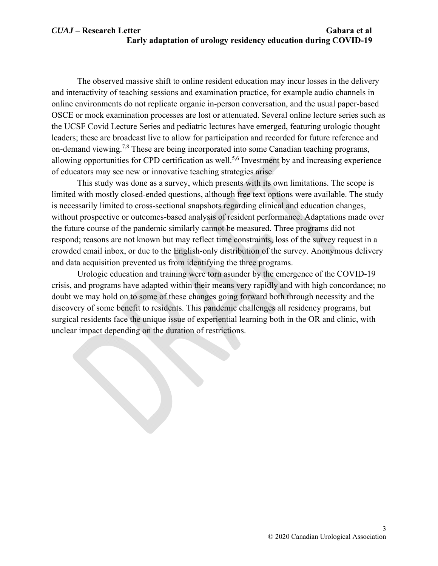# *CUAJ* **– Research Letter Gabara et al Early adaptation of urology residency education during COVID-19**

The observed massive shift to online resident education may incur losses in the delivery and interactivity of teaching sessions and examination practice, for example audio channels in online environments do not replicate organic in-person conversation, and the usual paper-based OSCE or mock examination processes are lost or attenuated. Several online lecture series such as the UCSF Covid Lecture Series and pediatric lectures have emerged, featuring urologic thought leaders; these are broadcast live to allow for participation and recorded for future reference and on-demand viewing.<sup>7,8</sup> These are being incorporated into some Canadian teaching programs, allowing opportunities for CPD certification as well.<sup>5,6</sup> Investment by and increasing experience of educators may see new or innovative teaching strategies arise.

This study was done as a survey, which presents with its own limitations. The scope is limited with mostly closed-ended questions, although free text options were available. The study is necessarily limited to cross-sectional snapshots regarding clinical and education changes, without prospective or outcomes-based analysis of resident performance. Adaptations made over the future course of the pandemic similarly cannot be measured. Three programs did not respond; reasons are not known but may reflect time constraints, loss of the survey request in a crowded email inbox, or due to the English-only distribution of the survey. Anonymous delivery and data acquisition prevented us from identifying the three programs.

Urologic education and training were torn asunder by the emergence of the COVID-19 crisis, and programs have adapted within their means very rapidly and with high concordance; no doubt we may hold on to some of these changes going forward both through necessity and the discovery of some benefit to residents. This pandemic challenges all residency programs, but surgical residents face the unique issue of experiential learning both in the OR and clinic, with unclear impact depending on the duration of restrictions.